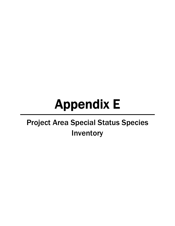# Appendix E

# Project Area Special Status Species Inventory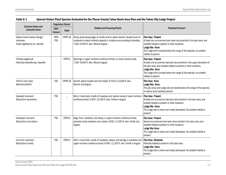| <b>Common Name and</b>                                                     | Regulatory Status <sup>1</sup> |              |                                                                                                                                                                                              |                                                                                                                                                                                                                                                                                         |  |
|----------------------------------------------------------------------------|--------------------------------|--------------|----------------------------------------------------------------------------------------------------------------------------------------------------------------------------------------------|-----------------------------------------------------------------------------------------------------------------------------------------------------------------------------------------------------------------------------------------------------------------------------------------|--|
| <b>Scientific Name</b>                                                     | <b>TRPA</b><br>Federal         | <b>State</b> | <b>Habitat and Flowering Period</b>                                                                                                                                                          | Potential to Occur <sup>2</sup>                                                                                                                                                                                                                                                         |  |
| Galena Creek (Carson Range)<br>rockcress<br>Arabis rigidissima var. demota | <b>TRPA</b><br><b>FSS</b>      | CRPR-1B      | Rocky areas along edges of conifer and/or aspen stands. Usually found on<br>moderate to steep northerly aspects in moisture accumulating microsites;<br>7,400-8,400 ft. elev. Blooms August. | Plan Area: Present<br>At least two occurrences have been documented in the plan area, and<br>suitable habitat is present in other locations.<br>Lodge Site: None<br>The Lodge site is located below the range of this species; no suitable<br>habitat is present.                       |  |
| Threetip sagebrush<br>Artemisia tripartita ssp. tripartita                 |                                | CRPR-2       | Openings in upper montane coniferous forest, on rocky/volcanic soils;<br>7,200-8,530 ft. elev. Blooms August.                                                                                | Plan Area: Present<br>At least one occurrence has been documented in the upper elevations of<br>the plan area, and suitable habitat is present in other locations.<br>Lodge Site: None<br>The Lodge site is located below the range of this species; no suitable<br>habitat is present. |  |
| Tiehm's rock cress<br>Boechera tiehmii                                     | <b>FSS</b>                     | CRPR-1B      | Granitic alpine boulder and rock fields; 9,700 to 12,000 ft. elev.<br>Blooms July-August.                                                                                                    | Plan Area: None<br>Lodge Site: None<br>The plan area and Lodge site are located below the range of this species;<br>no alpine rocky habitats present.                                                                                                                                   |  |
| Upswept moonwort<br>Botrychium ascendens                                   | <b>FSS</b>                     |              | Wet or moist soils, mostly of meadows and riparian areas in lower montane<br>coniferous forest; 5,000-10,200 ft. elev. Fertile in August.                                                    | Plan Area: Present<br>At least one occurrence has been documented in the plan area, and<br>suitable habitat is present in other locations.<br>Lodge Site: None<br>The Lodge site is urban and mostly developed. No suitable habitat is<br>present.                                      |  |
| Scalloped moonwort<br>Botrychium crenulatum                                | <b>FSS</b>                     | CRPR-2       | Bogs, fens, meadows, and seeps, in upper montane coniferous forest,<br>primarily moist meadows near creeks; 4,000-11,000 ft. elev. Fertile July-<br>August.                                  | Plan Area: Present<br>Several occurrences have been documented in the plan area, and<br>suitable habitat is present in other locations.<br>Lodge Site: None<br>The Lodge site is urban and mostly developed. No suitable habitat is<br>present.                                         |  |
| Common moonwort<br>Botrychium lunaria                                      | <b>FSS</b>                     | CRPR-2       | Wet or moist soils, mostly of meadows, seeps, and springs in subalpine and<br>upper montane coniferous forest; 6,400-11,200 ft. elev. Fertile in August.                                     | Plan Area: Moderate<br>Potential habitat is present in the plan area.<br>Lodge Site: None<br>The Lodge site is urban and mostly developed. No suitable habitat is<br>present.                                                                                                           |  |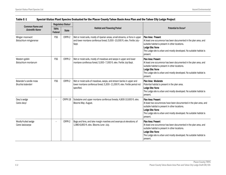| <b>Common Name and</b>                      | Regulatory Status <sup>1</sup> |              |                                                                                                                                                                     |                                                                                                                                                                                                                                                      |  |
|---------------------------------------------|--------------------------------|--------------|---------------------------------------------------------------------------------------------------------------------------------------------------------------------|------------------------------------------------------------------------------------------------------------------------------------------------------------------------------------------------------------------------------------------------------|--|
| <b>Scientific Name</b>                      | <b>TRPA</b><br>Federal         | <b>State</b> | <b>Habitat and Flowering Period</b>                                                                                                                                 | Potential to Occur <sup>2</sup>                                                                                                                                                                                                                      |  |
| Mingan moonwort<br>Botrychium minganense    | <b>FSS</b>                     | CRPR-2       | Wet or moist soils, mostly of riparian areas, small streams, or fens in upper<br>and lower montane coniferous forest; 5,000-10,000 ft. elev. Fertile July-<br>Sept. | Plan Area: Present<br>At least one occurrence has been documented in the plan area, and<br>suitable habitat is present in other locations.<br>Lodge Site: None<br>The Lodge site is urban and mostly developed. No suitable habitat is<br>present.   |  |
| Western goblin<br>Botrychium montanum       | <b>FSS</b>                     | CRPR-2       | Wet or moist soils, mostly of meadows and seeps in upper and lower<br>montane coniferous forest; 5,000-7,000 ft. elev. Fertile July-Sept.                           | Plan Area: Present<br>At least one occurrence has been documented in the plan area, and<br>suitable habitat is present in other locations.<br>Lodge Site: None<br>The Lodge site is urban and mostly developed. No suitable habitat is<br>present.   |  |
| Bolander's candle moss<br>Bruchia bolanderi | <b>FSS</b>                     | CRPR-2       | Wet or moist soils of meadows, seeps, and stream banks in upper and<br>lower montane coniferous forest; 5,300-11,000 ft. elev. Fertile period not<br>specified.     | Plan Area: Moderate<br>Potential habitat is present in the plan area.<br>Lodge Site: None<br>The Lodge site is urban and mostly developed. No suitable habitat is<br>present.                                                                        |  |
| Davy's sedge<br>Carex davyi                 |                                | CRPR-1B      | Subalpine and upper montane coniferous forests; 4,800-10,600 ft. elev.<br>Blooms May-August.                                                                        | Plan Area: Present<br>At least two occurrences have been documented in the plan area, and<br>suitable habitat is present in other locations.<br>Lodge Site: None<br>The Lodge site is urban and mostly developed. No suitable habitat is<br>present. |  |
| Woolly-fruited sedge<br>Carex lasiocarpa    |                                | CRPR-2       | Bogs and fens, and lake margin marshes and swamps at elevations; of<br>1,980-6,850 ft. elev. Blooms June-July.                                                      | Plan Area: Present<br>At least one occurrence has been documented in the plan area, and<br>suitable habitat is present in other locations.<br>Lodge Site: None<br>The Lodge site is urban and mostly developed. No suitable habitat is<br>present.   |  |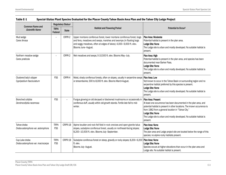| <b>Common Name and</b>                               | Regulatory Status <sup>1</sup> |              |                                                                                                                                                                                                                                          |                                                                                                                                                                                                                                                                                                                                   |  |
|------------------------------------------------------|--------------------------------|--------------|------------------------------------------------------------------------------------------------------------------------------------------------------------------------------------------------------------------------------------------|-----------------------------------------------------------------------------------------------------------------------------------------------------------------------------------------------------------------------------------------------------------------------------------------------------------------------------------|--|
| <b>Scientific Name</b>                               | <b>TRPA</b><br>Federal         | <b>State</b> | <b>Habitat and Flowering Period</b>                                                                                                                                                                                                      | Potential to Occur <sup>2</sup>                                                                                                                                                                                                                                                                                                   |  |
| Mud sedge<br>Carex limosa                            |                                | CRPR-2       | Upper montane coniferous forest, lower montane coniferous forest, bogs<br>and fens, meadows and seeps, marshes and swamps (in floating bogs<br>and soggy meadows, often at edges of lakes); 4,000-9,000 ft. elev.<br>Blooms June-August. | Plan Area: Moderate<br>Potential habitat is present in the plan area.<br>Lodge Site: None<br>The Lodge site is urban and mostly developed. No suitable habitat is<br>present.                                                                                                                                                     |  |
| Northern meadow sedge<br>Carex praticola             |                                | CRPR-2       | Wet meadows and seeps; 0-10,500 ft. elev. Blooms May-July.                                                                                                                                                                               | Plan Area: High<br>Potential habitat is present in the plan area, and species has been<br>documented near Barker Pass.<br>Lodge Site: None<br>The Lodge site is urban and mostly developed. No suitable habitat is<br>present.                                                                                                    |  |
| Clustered lady's slipper<br>Cypripedium fasciculatum | <b>FSS</b>                     | CRPR-4       | Moist, shady coniferous forests, often on slopes, usually in serpentine seeps <b>Plan Area: Low</b><br>or streambanks; 300 to 8,000 ft. elev. Blooms March-August.                                                                       | Not known to occur in the Tahoe Basin or surrounding region and no<br>serpentine habitat preferred by this species is present.<br>Lodge Site: None<br>The Lodge site is urban and mostly developed. No suitable habitat is<br>present.                                                                                            |  |
| Branched collybia<br>Dendrocollybia racemosa         | <b>FSS</b>                     |              | Fungus growing on old decayed or blackened mushrooms or occasionally in<br>coniferous duff, usually within old growth stands. Fertile late fall to mid-<br>winter.                                                                       | Plan Area: Present<br>At least one occurrence has been documented in the plan area, and<br>potential habitat is present in other locations. The known occurrence is<br>from 1982 from a general location in "Tahoe City."<br>Lodge Site: None<br>The Lodge site is urban and mostly developed. No suitable habitat is<br>present. |  |
| Tahoe draba<br>Draba asterophora var. asterophora    | <b>TRPA</b><br><b>FSS</b>      | CRPR-1B      | Alpine boulder and rock fell field in rock crevices and open granite talus<br>slopes, subalpine coniferous forest, usually on northeast-facing slopes;<br>8,200-10,500 ft. elev. Blooms July-September.                                  | Plan Area: None<br>Lodge Site: None<br>The plan area and Lodge project site are located below the range of this<br>species; no alpine rocky habitats present.                                                                                                                                                                     |  |
| Cup Lake draba<br>Draba asterophora var. macrocarpa  | <b>TRPA</b><br><b>FSS</b>      | CRPR-1B      | Subalpine coniferous forest on steep, gravelly or rocky slopes; 8,200-9,200   Plan Area: None<br>ft. elev.<br>Blooms July-August.                                                                                                        | Lodge Site: None<br>Species occurs at higher elevations than occur in the plan area and<br>Lodge site. No suitable habitat is present.                                                                                                                                                                                            |  |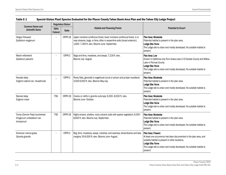| <b>Common Name and</b>                                                    | Regulatory Status <sup>1</sup> |              |                                                                                                                                                                                                    |                                                                                                                                                                                                                                                    |  |
|---------------------------------------------------------------------------|--------------------------------|--------------|----------------------------------------------------------------------------------------------------------------------------------------------------------------------------------------------------|----------------------------------------------------------------------------------------------------------------------------------------------------------------------------------------------------------------------------------------------------|--|
| <b>Scientific Name</b>                                                    | <b>TRPA</b><br>Federal         | <b>State</b> | <b>Habitat and Flowering Period</b>                                                                                                                                                                | Potential to Occur <sup>2</sup>                                                                                                                                                                                                                    |  |
| Oregon fireweed<br>Epilobium oreganum                                     |                                | CRPR-1B      | Upper montane coniferous forest, lower montane coniferous forest, in or<br>near streams, bogs, or fens; often in serpentine soils (broad endemic);<br>1,600-7,300 ft. elev. Blooms June-September. | Plan Area: Moderate<br>Potential habitat is present in the plan area.<br>Lodge Site: None<br>The Lodge site is urban and mostly developed. No suitable habitat is<br>present.                                                                      |  |
| Marsh willowherb<br>Epilobium palustre                                    |                                | CRPR-2       | Bogs and fens, meadows, and seeps; 7,218 ft. elev.<br>Blooms July-August.                                                                                                                          | Plan Area: Low<br>Known in California only from Grass Lake in El Dorado County and Willow<br>Lake in Plumas County.<br>Lodge Site: None<br>The Lodge site is urban and mostly developed. No suitable habitat is<br>present.                        |  |
| Nevada daisy<br>Erigeron eatonii var. nevadincola                         |                                | CRPR-2       | Rocky flats, generally in sagebrush scrub or pinyon and juniper woodland;<br>4,500-9,500 ft. elev. Blooms May-July.                                                                                | Plan Area: Moderate<br>Potential habitat is present in the plan area.<br>Lodge Site: None<br>The Lodge site is urban and mostly developed. No suitable habitat is<br>present.                                                                      |  |
| Starved daisy<br>Erigeron miser                                           | <b>FSS</b>                     | CRPR-1B      | Cracks or clefts in granite outcrops; 6,000-8,500 ft. elev.<br>Blooms June-October.                                                                                                                | Plan Area: Moderate<br>Potential habitat is present in the plan area.<br>Lodge Site: None<br>The Lodge site is urban and mostly developed. No suitable habitat is<br>present.                                                                      |  |
| Torrey (Donner Pass) buckwheat<br>Eriogonum umbellatum var.<br>torreyanum | <b>FSS</b>                     | CRPR-1B      | Highly erosive, shallow, rocky volcanic soils with sparse vegetation; 6,000-<br>8,600 ft. elev. Blooms July-September.                                                                             | Plan Area: Moderate<br>Potential habitat is present in the plan area.<br>Lodge Site: None<br>The Lodge site is urban and mostly developed. No suitable habitat is<br>present.                                                                      |  |
| American manna grass<br>Glyceria grandis                                  |                                | CRPR-2       | Bog, fens, meadows, seeps, marshes, and swamps; streambanks and lake<br>margins; 50-6,500 ft. elev. Blooms June-August.                                                                            | Plan Area: Present<br>At least one occurrence has been documented in the plan area, and<br>suitable habitat is present in other locations.<br>Lodge Site: None<br>The Lodge site is urban and mostly developed. No suitable habitat is<br>present. |  |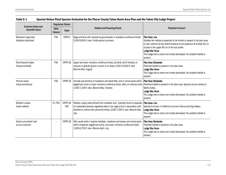|                                                  | Regulatory Status <sup>1</sup>                                                |                        |                                                                                                                                                                                                                                                                                                          |                                                                                                                                                                                                                                                                                                                                      |  |
|--------------------------------------------------|-------------------------------------------------------------------------------|------------------------|----------------------------------------------------------------------------------------------------------------------------------------------------------------------------------------------------------------------------------------------------------------------------------------------------------|--------------------------------------------------------------------------------------------------------------------------------------------------------------------------------------------------------------------------------------------------------------------------------------------------------------------------------------|--|
| <b>Common Name and</b><br><b>Scientific Name</b> | <b>Habitat and Flowering Period</b><br><b>TRPA</b><br><b>State</b><br>Federal |                        | Potential to Occur <sup>2</sup>                                                                                                                                                                                                                                                                          |                                                                                                                                                                                                                                                                                                                                      |  |
| Blandow's bog-moss<br>Helodium blandowii         | <b>FSS</b>                                                                    | CRPR-2                 | Bogs and fens with calcareous groundwater in subalpine coniferous forest;<br>5,000-9,500 ft. elev. Fertile period unknown.                                                                                                                                                                               | Plan Area: Low<br>Suitable fen habitat is expected to be limited or absent in the plan area.<br>A main criterion for fen determinations is the presence of at least 40 cm<br>of peat in the upper 80 cm of the soil profile.<br>Lodge Site: None<br>The Lodge site is urban and mostly developed. No suitable habitat is<br>present. |  |
| Short-leaved hulsea<br>Hulsea brevifolia         | <b>FSS</b>                                                                    | CRPR-1B                | Upper and lower montane coniferous forest, primarily red fir forests, on<br>volcanic or granitic gravel or sand, or on slate; 4,200-10,500 ft. elev.<br>Blooms May-August.                                                                                                                               | Plan Area: Moderate<br>Potential habitat is present in the plan area.<br>Lodge Site: None<br>The Lodge site is urban and mostly developed. No suitable habitat is<br>present.                                                                                                                                                        |  |
| Plumas ivesia<br>Ivesia sericoleuca              | <b>FSS</b>                                                                    | CRPR-1B                | Vernally wet portions of meadows and alkali flats, and in vernal pools within   Plan Area: Moderate<br>sagebrush scrub or lower montane coniferous forest, often on volcanic soils; Potential habitat is present in the plan area. Species occurs nearby in<br>4,300-7,200 ft. elev. Blooms May-October. | Martis Valley.<br>Lodge Site: None<br>The Lodge site is urban and mostly developed. No suitable habitat is<br>present.                                                                                                                                                                                                               |  |
| Webber's ivesia<br>Ivesia webberi                | FC, FSS                                                                       | CRPR-1B.<br><b>NCE</b> | Shallow, clayey soils derived from andesitic rock. Typically found on sparsely   Plan Area: Low<br>to moderately densely vegetated sites in low sage scrub in association with<br>dwarfed or cushion-like perennial herbs; 3,000-7,000 ft. elev. Blooms May-<br>July.                                    | Species is known in California only from Sierra and Dog Valleys.<br>Lodge Site: None<br>The Lodge site is urban and mostly developed. No suitable habitat is<br>present.                                                                                                                                                             |  |
| Santa Lucia dwarf rush<br>Juncus luciensis       |                                                                               | CRPR-1B                | Wet, sandy soils in riparian habitats, meadows and seeps, and vernal pools<br>within chaparral, sagebrush scrub, and lower montane coniferous forest;<br>1,000-6,700 ft. elev. Blooms April-July.                                                                                                        | Plan Area: Moderate<br>Potential habitat is present in the plan area.<br>Lodge Site: None<br>The Lodge site is urban and mostly developed. No suitable habitat is<br>present.                                                                                                                                                        |  |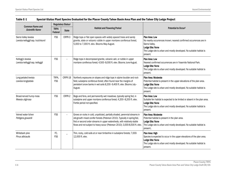| <b>Common Name and</b>                                      | Regulatory Status <sup>1</sup> |              |                                                                                                                                                                                                                                                                                                                      |                                                                                                                                                                                                               |  |
|-------------------------------------------------------------|--------------------------------|--------------|----------------------------------------------------------------------------------------------------------------------------------------------------------------------------------------------------------------------------------------------------------------------------------------------------------------------|---------------------------------------------------------------------------------------------------------------------------------------------------------------------------------------------------------------|--|
| <b>Scientific Name</b>                                      | <b>TRPA</b><br>Federal         | <b>State</b> | <b>Habitat and Flowering Period</b>                                                                                                                                                                                                                                                                                  | Potential to Occur <sup>2</sup>                                                                                                                                                                               |  |
| Sierra Valley lewisia<br>Lewisia kelloggii ssp. hutchisonii | <b>FSS</b>                     | CRPR-3       | Ridge tops or flat open spaces with widely spaced trees and sandy<br>granite, slate or volcanic rubble in upper montane coniferous forest;<br>5,000 to 7,000 ft. elev. Blooms May-August.                                                                                                                            | Plan Area: Low<br>No nearby occurrences known; nearest confirmed occurrences are in<br>Sierra Valley.<br>Lodge Site: None<br>The Lodge site is urban and mostly developed. No suitable habitat is<br>present. |  |
| Kellogg's lewisia<br>Lewisia kelloggii ssp. kelloggii       | <b>FSS</b>                     |              | Ridge tops in decomposed granite, volcanic ash, or rubble in upper<br>montane coniferous forest; 4,500-8,000 ft. elev. Blooms June-August.                                                                                                                                                                           | Plan Area: Low<br>Nearest confirmed occurrences are in Yosemite National Park.<br>Lodge Site: None<br>The Lodge site is urban and mostly developed. No suitable habitat is<br>present.                        |  |
| Long-petaled lewisia<br>Lewisia longipetala                 | TRPA,<br><b>FSS</b>            | CRPR-1B      | Northerly exposures on slopes and ridge tops in alpine boulder and rock<br>field, subalpine coniferous forest; often found near the margins of<br>persistent snow banks in wet soils 8,200-9,400 ft. elev. Blooms July-<br>August.                                                                                   | Plan Area: Moderate<br>Potential habitat is present in the upper elevations of the plan area.<br>Lodge Site: None<br>The Lodge site is urban and mostly developed. No suitable habitat is<br>present.         |  |
| Broad-nerved hump moss<br>Meesia uliginosa                  | <b>FSS</b>                     | CRPR-2       | Bogs and fens, and permanently wet meadows, typically spring fed, in<br>subalpine and upper montane coniferous forest; 4,200-8,200 ft. elev.<br>Fertile period not specified.                                                                                                                                        | Plan Area: Low<br>Suitable fen habitat is expected to be limited or absent in the plan area.<br>Lodge Site: None<br>The Lodge site is urban and mostly developed. No suitable habitat is<br>present.          |  |
| Veined water lichen<br>Peltigera gowardii                   | <b>FSS</b>                     |              | Grows on rocks in cold, unpolluted, partially shaded, perennial streams in<br>old-growth mixed conifer forests (Peterson 2010). Typically in spring-fed,<br>first or second order streams in upper watersheds, with relatively stable<br>flows and not subject to heavy scour (Peterson 2010); 3,000-8,500 ft. elev. | Plan Area: Moderate<br>Potential habitat is present in the plan area.<br>Lodge Site: None<br>The Lodge site is urban and mostly developed. No suitable habitat is<br>present                                  |  |
| Whitebark pine<br>Pinus albicaulis                          | FC,<br><b>FSS</b>              |              | Thin, rocky, cold soils at or near timberline in subalpine forests; 7,000-<br>12,000 ft. elev.                                                                                                                                                                                                                       | Plan Area: High<br>Species is expected to occur in the upper elevations of the plan area.<br>Lodge Site: None<br>The Lodge site is urban and mostly developed. No suitable habitat is<br>present.             |  |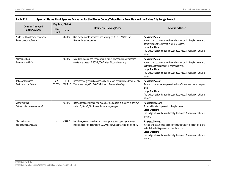| <b>Common Name and</b>                                    | Regulatory Status <sup>1</sup>         |                   |                                                                                                                                       | Potential to Occur <sup>2</sup>                                                                                                                                                                                                                     |  |
|-----------------------------------------------------------|----------------------------------------|-------------------|---------------------------------------------------------------------------------------------------------------------------------------|-----------------------------------------------------------------------------------------------------------------------------------------------------------------------------------------------------------------------------------------------------|--|
| <b>Scientific Name</b>                                    | <b>TRPA</b><br><b>State</b><br>Federal |                   | <b>Habitat and Flowering Period</b>                                                                                                   |                                                                                                                                                                                                                                                     |  |
| Nuttall's ribbon-leaved pondweed<br>Potamogeton epihydrus | $\overline{\phantom{a}}$               | CRPR-2            | Shallow freshwater marshes and swamps; 1,210-7,130 ft. elev.<br>Blooms June-September.                                                | Plan Area: Present<br>At least one occurrence has been documented in the plan area, and<br>potential habitat is present in other locations.<br>Lodge Site: None<br>The Lodge site is urban and mostly developed. No suitable habitat is<br>present. |  |
| Alder buckthorn<br>Rhamnus alnifolia                      |                                        | CRPR-2            | Meadows, seeps, and riparian scrub within lower and upper montane<br>coniferous forests; 4,500-7,000 ft. elev. Blooms May-July.       | Plan Area: Present<br>At least one occurrence has been documented in the plan area, and<br>suitable habitat is present in other locations.<br>Lodge Site: None<br>The Lodge site is urban and mostly developed. No suitable habitat is<br>present.  |  |
| Tahoe yellow cress<br>Rorippa subumbellata                | TRPA,<br>FC, FSS                       | CA-CE,<br>CRPR-1B | Decomposed granitic beaches on Lake Tahoe; species is endemic to Lake<br>Tahoe beaches; 6,217-6,234 ft. elev. Blooms May-Sept.        | Plan Area: Present<br>Several occurrences are present on Lake Tahoe beaches in the plan<br>area.<br>Lodge Site: None<br>The Lodge site is urban and mostly developed. No suitable habitat is<br>present.                                            |  |
| Water bulrush<br>Schoenoplectus subterminalis             |                                        | CRPR-2            | Bogs and fens, marshes and swamps (montane lake margins in shallow<br>water); 2,461-7,661 ft. elev. Blooms July-August.               | Plan Area: Moderate<br>Potential habitat is present in the plan area.<br>Lodge Site: None<br>The Lodge site is urban and mostly developed. No suitable habitat is<br>present.                                                                       |  |
| Marsh skullcap<br>Scutellaria galericulata                |                                        | CRPR-2            | Meadows, seeps, marshes, and swamps in sunny openings in lower<br>montane coniferous forest; 0-7,000 ft. elev. Blooms June-September. | Plan Area: Present<br>At least one occurrence has been documented in the plan area, and<br>suitable habitat is present in other locations.<br>Lodge Site: None<br>The Lodge site is urban and mostly developed. No suitable habitat is<br>present.  |  |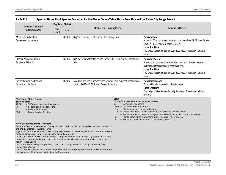| <b>Common Name and</b>                               | Regulatory Status <sup>1</sup> |              |                                                                                                                         |                                                                                                                                                                                                                                                      |  |
|------------------------------------------------------|--------------------------------|--------------|-------------------------------------------------------------------------------------------------------------------------|------------------------------------------------------------------------------------------------------------------------------------------------------------------------------------------------------------------------------------------------------|--|
| <b>Scientific Name</b>                               | <b>TRPA</b><br>Federal         | <b>State</b> | <b>Habitat and Flowering Period</b>                                                                                     | Potential to Occur <sup>2</sup>                                                                                                                                                                                                                      |  |
| Munro's desert mallow<br>Sphaeralcea munroana        |                                | CRPR-2       | Sagebrush scrub; 6,560 ft. elev. Blooms May-June.                                                                       | Plan Area: Low<br>Known in CA from a single herbarium specimen from 1922 "near Squaw<br>Creek in Placer County at about 6,500 ft."<br>Lodge Site: None<br>The Lodge site is urban and mostly developed. No suitable habitat is<br>present.           |  |
| Slender-leaved pondweed<br>Stuckenia filiformis      |                                | CRPR-2       | Shallow, clear water of lakes and rivers; 900-8,000 ft. elev. Blooms May-<br>July.                                      | l Plan Area: Present<br>At least one occurrence has been documented in the plan area, and<br>suitable habitat is present in other locations.<br>Lodge Site: None<br>The Lodge site is urban and mostly developed. No suitable habitat is<br>present. |  |
| Crème-flowered bladderwort<br>Utricularia ochroleuca |                                | CRPR-2       | Meadows and seeps, marshes and swamps (lake margins); shallow acidic<br>waters. 4,691-4,724 ft. elev. Blooms June-July. | l Plan Area: Moderate<br>Potential habitat is present in the plan area.<br>Lodge Site: None<br>The Lodge site is urban and mostly developed. No suitable habitat is<br>present.                                                                      |  |

## 1Regulatory Status Codes:

TRPA/Federal:<br>TRPA = TR

- TRPA = TRPA sensitive/threshold species<br> $FC = Federal candidate for listing$
- $FC = Federal candidate for listing   
\nFT = Federal Thread$
- $=$  Federal Threatened
- FSS = Forest Service Sensitive

#### State:

#### CA (California Department of Fish and Wildlife)

- CE = California Endangered
- CRPR = California Rare Plant Rank
- 1A = Plants presumed extinct in California
- 1B = Plants considered rare or endangered in California and elsewhere
- 2 = Plants considered rare or endangered in California, but more common elsewhere.
- 3 = Plants about which more information is needed a review list.
- 4 = Plants of limited distribution in California a watch list.

#### 2Potential for Occurrence Definitions

*Present* – Species was observed during site visits conducted for this analysis or was documented on the site by another reputable source.

*High* – All of the species' specific life history requirements can be met by habitat present on the site, and populations are known to occur in the immediate vicinity. *Moderate* – Some or all of the species life history requirements are provided by habitat on the site;

populations may not be known to occur in the immediate vicinity, but are known to occur in the region (Tahoe Basin).

*Low* – Species not likely or expected to occur due to marginal habitat quality or distance from known occurrences.

*None* – None of the species' life history requirements are provided by habitat on the site and/or the site is outside of the known distribution for the species.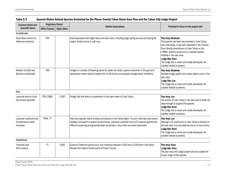| <b>Common Name and</b>                                      | Regulatory Status <sup>1</sup> |             |                                                                                                                                                                                                                                                                                               |                                                                                                                                                                                                                                                                                                                                                                            |
|-------------------------------------------------------------|--------------------------------|-------------|-----------------------------------------------------------------------------------------------------------------------------------------------------------------------------------------------------------------------------------------------------------------------------------------------|----------------------------------------------------------------------------------------------------------------------------------------------------------------------------------------------------------------------------------------------------------------------------------------------------------------------------------------------------------------------------|
| <b>Scientific Name</b>                                      | TRPA/Federal                   | State/Other | <b>Habitat Associations</b>                                                                                                                                                                                                                                                                   | Potential to Occur on the project site <sup>2</sup>                                                                                                                                                                                                                                                                                                                        |
| Invertebrates                                               |                                |             |                                                                                                                                                                                                                                                                                               |                                                                                                                                                                                                                                                                                                                                                                            |
| Great Basin rams-horn<br>Helisoma newberryi                 | <b>FSS</b>                     |             | Snail associated with larger lakes and slow rivers, including larger spring sources and spring-fed<br>creeks. Snails burrow in soft mud.                                                                                                                                                      | Plan Area: Moderate<br>This species has been documented in Lake Tahoe;<br>and, historically, it has been observed in the Truckee<br>River directly downstream of Lake Tahoe on the<br>LTBMU. Species could occur in suitable aquatic<br>habitats in the plan area.<br>Lodge Site: None<br>The Lodge site is urban and mostly developed. No<br>suitable habitat is present. |
| Western bumble bee<br>Bombus occidentalis                   | <b>FSS</b>                     |             | Forage on a variety of flowering plants for pollen ad nectar; queens overwinter in the ground in<br>abandoned rodent nests at depths from 6-18 inches, and typically emerge about mid-March.                                                                                                  | Plan Area: Moderate<br>Suitable forage (pollen and nectar) plants occur in the<br>plan area.<br>Lodge Site: Low<br>The Lodge site is urban and mostly developed. No<br>suitable habitat is present.                                                                                                                                                                        |
| <b>Fish</b>                                                 |                                |             |                                                                                                                                                                                                                                                                                               |                                                                                                                                                                                                                                                                                                                                                                            |
| Lahontan lake tui chub<br>Gila bicolor pectinifer           | <b>FSS-LTBMU</b>               | C-SSC       | Pelagic fish that feed on zooplankton in the open water of Lake Tahoe.                                                                                                                                                                                                                        | Plan Area: Low<br>The portion of Lake Tahoe in the plan area is likely not<br>deep enough to support this species.<br>Lodge Site: None<br>The Lodge site is urban and mostly developed. No<br>suitable habitat is present.                                                                                                                                                 |
| Lahontan cutthroat trout<br>Oncorhynchus clarki<br>henshawi | TRPA, FT                       |             | Only trout species native to lakes and streams in the Tahoe Basin. Found in both lake and stream<br>habitats, but spawn in stream environments. Lahontan cutthroat trout (LCT) requires gravels and<br>riffles for spawning and generally does not persist or occur with nonnative salmonids. | Plan Area: Low<br>Although LCT could occur in Lake Tahoe or streams in<br>the plan area, it is not presently known to occur there.<br>Lodge Site: None<br>The Lodge site is urban and mostly developed. No<br>suitable habitat is present.                                                                                                                                 |
| Amphibians                                                  |                                |             |                                                                                                                                                                                                                                                                                               |                                                                                                                                                                                                                                                                                                                                                                            |
| Yosemite toad<br>Bufo canarus                               | FT                             | C-SSC       | Endemic California toad found in wet meadows between 4,000 and 12,000 feet in the Sierra<br>Nevada from Alpine County south to Fresno County.                                                                                                                                                 | Plan Area: None<br>Lodge Site: None<br>The plan area and Lodge project site are outside the<br>known range of this species.                                                                                                                                                                                                                                                |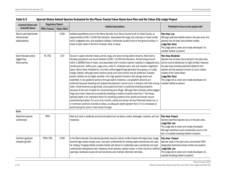| <b>Common Name and</b><br><b>Scientific Name</b>       | Regulatory Status <sup>1</sup> |              | <b>Habitat Associations</b>                                                                                                                                                                                                                                                                                                                                                                                                                                                                                                                                                                                                                                                                                                                                                                                                                                                                                                                                                                                                                                                                                                                                                                                                                                                                                                                                                                                                                                                                                               |                                                                                                                                                                                                                                                                                                                                                                                      |
|--------------------------------------------------------|--------------------------------|--------------|---------------------------------------------------------------------------------------------------------------------------------------------------------------------------------------------------------------------------------------------------------------------------------------------------------------------------------------------------------------------------------------------------------------------------------------------------------------------------------------------------------------------------------------------------------------------------------------------------------------------------------------------------------------------------------------------------------------------------------------------------------------------------------------------------------------------------------------------------------------------------------------------------------------------------------------------------------------------------------------------------------------------------------------------------------------------------------------------------------------------------------------------------------------------------------------------------------------------------------------------------------------------------------------------------------------------------------------------------------------------------------------------------------------------------------------------------------------------------------------------------------------------------|--------------------------------------------------------------------------------------------------------------------------------------------------------------------------------------------------------------------------------------------------------------------------------------------------------------------------------------------------------------------------------------|
|                                                        | TRPA/Federal                   | State/Other  |                                                                                                                                                                                                                                                                                                                                                                                                                                                                                                                                                                                                                                                                                                                                                                                                                                                                                                                                                                                                                                                                                                                                                                                                                                                                                                                                                                                                                                                                                                                           | Potential to Occur on the project site <sup>2</sup>                                                                                                                                                                                                                                                                                                                                  |
| Mount Lyell salamander<br>Hydromantes<br>platycephalus |                                | <b>C-SSC</b> | Isolated populations occur in the Sierra Nevada, from Sierra County south to Tulare County, at<br>approximately 4,000-12,000 feet elevation. Associated with large rock outcrops in mixed conifer,<br>red fir, lodgepole pine, and subalpine habitats. Individuals usually found on the ground surface, in<br>areas of open water in the form of seeps, drips, or spray.                                                                                                                                                                                                                                                                                                                                                                                                                                                                                                                                                                                                                                                                                                                                                                                                                                                                                                                                                                                                                                                                                                                                                  | Plan Area: Low<br>Although potential habitat exists in the plan area, this<br>species has not been documented nearby.<br>Lodge Site: None<br>The Lodge site is urban and mostly developed. No<br>suitable habitat is present.                                                                                                                                                        |
| Sierra Nevada yellow-<br>legged frog<br>Rana sierrae   | FE, FSS                        | C-ST         | Occurs in upper elevation lakes, ponds, bogs, and slow-moving alpine streams. Most Sierra<br>Nevada populations are found between 6,000-12,000 feet elevation. Almost always found<br>within 3.280853 feet of water, and associated with montane riparian habitats in lodgepole pine<br>ponderosa pine, Jeffrey pine, sugar pine, white fir, whitebark pine, and wet meadow vegetation<br>types. Alpine lakes inhabited by mountain yellow-legged frogs generally have grassy or muddy<br>margin habitat, although below treeline sandy and rocky shores may be preferred. Suitable<br>stream habitat can be highly variable, from high gradient streams with plunge pools and<br>waterfalls, to low gradient sections through alpine meadows. Low-gradient streams are<br>preferred because breeding and tadpole development cannot occur in streams with fast-moving<br>water. Small streams are generally unoccupied and have no potential breeding locations<br>because of the lack of depth for overwintering and refuge. Although Sierra Nevada yellow-legged<br>frogs have been observed successfully breeding in shallow locations less than 7 feet deep,<br>typically depth is an important factor for breeding locations since adults and larvae require<br>overwintering habitat. For up to nine months, adults and larvae will live/hibernate below ice, or<br>in nonfrozen portions of ponds or lakes, so adequate depth (greater than 2 m) is necessary to<br>avoid having the pond or lake freeze through. | Plan Area: Moderate<br>Species has not been documented in the plan area,<br>and its current distribution is highly limited. However,<br>the plan area includes potential habitat for this<br>species and the species is known to occur nearby<br>outside of the Tahoe Basin.<br>Lodge Site: None<br>The Lodge site is urban and mostly developed. No<br>suitable habitat is present. |
| <b>Birds</b>                                           |                                |              |                                                                                                                                                                                                                                                                                                                                                                                                                                                                                                                                                                                                                                                                                                                                                                                                                                                                                                                                                                                                                                                                                                                                                                                                                                                                                                                                                                                                                                                                                                                           |                                                                                                                                                                                                                                                                                                                                                                                      |
| Waterfowl species<br>(collectively)                    | <b>TRPA</b>                    |              | Nest and roost in wetlands and around waters such as lakes, creeks, drainages, marshes, and wet<br>meadows.                                                                                                                                                                                                                                                                                                                                                                                                                                                                                                                                                                                                                                                                                                                                                                                                                                                                                                                                                                                                                                                                                                                                                                                                                                                                                                                                                                                                               | Plan Area: Present<br>Several waterfowl species occur in the plan area.<br>Lodge Site: Low<br>The Lodge site is urban and mostly developed.<br>Although waterfowl could occasionally occur on the<br>site, no suitable breeding habitat is present.                                                                                                                                  |
| Northern goshawk<br>Accipiter gentilis                 | TRPA, FSS                      | <b>C-SSC</b> | In the Sierra Nevada, this species generally requires mature conifer forests with large trees, snags,<br>downed logs, dense canopy cover, and open understories for nesting; aspen stands also are used<br>for nesting. Foraging habitat includes forests with dense to moderately open overstories and open<br>understories interspersed with meadows, brush patches, riparian areas, or other natural or artificial<br>openings. Goshawks reuse old nest structures and maintain alternate nest sites.                                                                                                                                                                                                                                                                                                                                                                                                                                                                                                                                                                                                                                                                                                                                                                                                                                                                                                                                                                                                                  | Plan Area: Present<br>Species nests in the plan area, and several USFS-<br>designated protected activity centers are present.<br>Lodge Site: Low<br>The Lodge site is urban and mostly developed. No<br>suitable breeding habitat is present.                                                                                                                                        |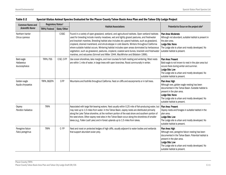| <b>Common Name and</b>                    | Regulatory Status <sup>1</sup> |              |                                                                                                                                                                                                                                                                                                                                                                                                                                                                                                                                                                                                                                                                                     |                                                                                                                                                                                                                                                                |
|-------------------------------------------|--------------------------------|--------------|-------------------------------------------------------------------------------------------------------------------------------------------------------------------------------------------------------------------------------------------------------------------------------------------------------------------------------------------------------------------------------------------------------------------------------------------------------------------------------------------------------------------------------------------------------------------------------------------------------------------------------------------------------------------------------------|----------------------------------------------------------------------------------------------------------------------------------------------------------------------------------------------------------------------------------------------------------------|
| <b>Scientific Name</b>                    | TRPA/Federal                   | State/Other  | <b>Habitat Associations</b>                                                                                                                                                                                                                                                                                                                                                                                                                                                                                                                                                                                                                                                         | Potential to Occur on the project site <sup>2</sup>                                                                                                                                                                                                            |
| Northern harrier<br>Circus cyaneus        |                                | <b>C-SSC</b> | Found in a variety of open grassland, wetland, and agricultural habitats. Open wetland habitats<br>used for breeding include marshy meadows, wet and lightly grazed pastures, and freshwater<br>and brackish marshes. Breeding habitat also includes dry upland habitats, such as grassland,<br>cropland, drained marshland, and shrub-steppe in cold deserts. Winters throughout California<br>where suitable habitat occurs. Wintering habitat includes open areas dominated by herbaceous<br>vegetation, such as grassland, pastures, cropland, coastal sand dunes, brackish and freshwater<br>marshes, and estuaries (Grinnell and Miller 1944, MacWhirter and Bildstein 1996). | Plan Area: Moderate<br>Although not abundant, suitable habitat is present in<br>the plan area.<br>Lodge Site: None<br>The Lodge site is urban and mostly developed. No<br>suitable habitat is present.                                                         |
| Bald eagle<br>Haliaeetus<br>leucocephalus | TRPA, FSS                      | C-SE, C-FP   | Use ocean shorelines, lake margins, and river courses for both nesting and wintering. Most nests<br>are within 1 mile of water, in large trees with open branches. Roost communally in winter.                                                                                                                                                                                                                                                                                                                                                                                                                                                                                      | Plan Area: Present<br>Bald eagle is not known to nest in the plan area but<br>occurs there during winter and summer.<br>Lodge Site: Low<br>The Lodge site is urban and mostly developed. No<br>suitable habitat is present.                                    |
| Golden eagle<br>Aquila chrysaetos         | TRPA, BGEPA                    | C-FP         | Mountains and foothills throughout California. Nest on cliffs and escarpments or in tall trees.                                                                                                                                                                                                                                                                                                                                                                                                                                                                                                                                                                                     | Plan Area: High<br>Although rare, golden eagle nesting has been<br>documented in the Tahoe Basin. Suitable habitat is<br>present in the plan area.<br>Lodge Site: None<br>The Lodge site is urban and mostly developed. No<br>suitable habitat is present.     |
| Osprey<br>Pandion haliaetus               | <b>TRPA</b>                    |              | Associated with large fish-bearing waters. Nest usually within 0.25 mile of fish-producing water, but<br>may nest up to 1.5 miles from water. In the Tahoe Basin, osprey nests are distributed primarily<br>along the Lake Tahoe shoreline, at the northern portion of the east shore and southern portion of<br>the west shore. Other osprey nest sites in the Tahoe Basin occur along the shorelines of smaller<br>lakes (e.g., Fallen Leaf Lake) and in forest uplands up to 1.5 miles from lakes.                                                                                                                                                                               | Plan Area: Present<br>Osprey nests and forages in suitable habitat in the<br>plan area.<br>Lodge Site: Low<br>The Lodge site is urban and mostly developed. No<br>suitable habitat is present.                                                                 |
| Peregrine falcon<br>Falco peregrinus      | <b>TRPA</b>                    | $C$ -FP      | Nest and roost on protected ledges of high cliffs, usually adjacent to water bodies and wetlands<br>that support abundant avian prey.                                                                                                                                                                                                                                                                                                                                                                                                                                                                                                                                               | Plan Area: High<br>Although rare, peregrine falcon nesting has been<br>documented in the Tahoe Basin. Potential habitat is<br>present in the plan area.<br>Lodge Site: Low<br>The Lodge site is urban and mostly developed. No<br>suitable habitat is present. |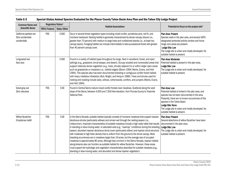| <b>Common Name and</b>                                       | Regulatory Status <sup>1</sup> |              |                                                                                                                                                                                                                                                                                                                                                                                                                                                                                                                                                                                                                                                                                                                                                                                                                                                                                                                                                                                                                                                                                                            |                                                                                                                                                                                                                                                                                                                  |
|--------------------------------------------------------------|--------------------------------|--------------|------------------------------------------------------------------------------------------------------------------------------------------------------------------------------------------------------------------------------------------------------------------------------------------------------------------------------------------------------------------------------------------------------------------------------------------------------------------------------------------------------------------------------------------------------------------------------------------------------------------------------------------------------------------------------------------------------------------------------------------------------------------------------------------------------------------------------------------------------------------------------------------------------------------------------------------------------------------------------------------------------------------------------------------------------------------------------------------------------------|------------------------------------------------------------------------------------------------------------------------------------------------------------------------------------------------------------------------------------------------------------------------------------------------------------------|
| <b>Scientific Name</b>                                       | TRPA/Federal                   | State/Other  | <b>Habitat Associations</b>                                                                                                                                                                                                                                                                                                                                                                                                                                                                                                                                                                                                                                                                                                                                                                                                                                                                                                                                                                                                                                                                                | Potential to Occur on the project site <sup>2</sup>                                                                                                                                                                                                                                                              |
| California spotted owl<br>Strix occidentalis<br>occidentalis | <b>FSS</b>                     | <b>C-SSC</b> | Occur in several forest vegetation types including mixed conifer, ponderosa pine, red fir, and<br>montane hardwood. Nesting habitat is generally characterized by dense canopy closure (i.e.,<br>greater than 70 percent) with medium to large trees and multistoried stands (i.e., at least two<br>canopy layers). Foraging habitat can include intermediate to late-successional forest with greater<br>than 40 percent canopy cover.                                                                                                                                                                                                                                                                                                                                                                                                                                                                                                                                                                                                                                                                    | <b>Plan Area: Present</b><br>Species nests in the plan area, and several USFS-<br>designated protected activity centers and home<br>range core areas are present.<br>Lodge Site: Low<br>The Lodge site is urban and mostly developed. No<br>suitable habitat is present.                                         |
| Long-eared owl<br>Asio otus                                  |                                | <b>C-SSC</b> | Found in a variety of habitat types throughout its range. Nest in woodland, forest, and open<br>settings (e.g., grassland, shrub-steppe, and desert). Occupy wooded and nonwooded areas that<br>support relatively dense vegetation (e.g., trees, shrubs) adjacent to or within larger open areas<br>such as grasslands or meadows (i.e., habitat edges) (Bloom 1994; Marks, Evans, and Holt<br>1994). This species also has been documented breeding in contiguous conifer forest habitat<br>with heavy mistletoe infestation (Bull, Wright, and Henjum 1989). Trees and shrubs used for<br>nesting and roosting include oaks, willows, cottonwoods, conifers, and junipers (Marks, Evans,<br>and Holt 1994).                                                                                                                                                                                                                                                                                                                                                                                             | Plan Area: Moderate<br>Potential habitat is present in the plan area.<br>Lodge Site: Low<br>The Lodge site is urban and mostly developed. No<br>suitable habitat is present.                                                                                                                                     |
| Great gray owl<br>Strix nebulosa                             | <b>FSS</b>                     | <b>C-SE</b>  | Found in Central Sierra mature mixed conifer forests near meadows. Scattered along the west<br>slope of the Sierra, between 4,500 and 7,500 feet elevation, from Plumas County to Yosemite<br>National Park.                                                                                                                                                                                                                                                                                                                                                                                                                                                                                                                                                                                                                                                                                                                                                                                                                                                                                               | Plan Area: Low<br>Potential habitat is limited in the plan area, and<br>species has not been documented in the area.<br>Presently, there are no known occurrences of this<br>species in the Tahoe Basin.<br>Lodge Site: None<br>The Lodge site is urban and mostly developed. No<br>suitable habitat is present. |
| Willow flycatcher<br>Empidonax traillii                      | <b>FSS</b>                     | <b>C-SE</b>  | In the Sierra Nevada, suitable habitat typically consists of montane meadows that support riparian<br>deciduous shrubs (particularly willows) and remain wet through the nesting season (i.e.,<br>midsummer). Important characteristics of suitable meadows include a high water table that results<br>in standing or slow-moving water, or saturated soils (e.g., "swampy" conditions) during the breeding<br>season; abundant riparian deciduous shrub cover (particularly willow); and riparian shrub structure<br>with moderate to high foliar density that is uniform from the ground to the shrub canopy. Most<br>breeding occurrences are in meadows larger than 19 acres, but the average size of occupied<br>meadows is approximately 80 acres. Although less common in the Sierra Nevada, riparian habitat<br>along streams also can function as suitable habitat for willow flycatcher. However, those areas<br>must support the hydrologic and vegetation characteristics described for suitable meadows (e.g.,<br>standing or slow-moving water, and abundant and dense riparian vegetation). | Plan Area: Present<br>Several detections of willow flycatcher have been<br>documented in the plan area.<br>Lodge Site: Low<br>The Lodge site is urban and mostly developed. No<br>suitable habitat is present.                                                                                                   |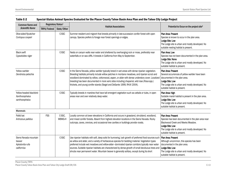| <b>Common Name and</b><br><b>Scientific Name</b>                   | Regulatory Status <sup>1</sup> |                  |                                                                                                                                                                                                                                                                                                                                                                                                                                                                                                                   |                                                                                                                                                                                                                     |
|--------------------------------------------------------------------|--------------------------------|------------------|-------------------------------------------------------------------------------------------------------------------------------------------------------------------------------------------------------------------------------------------------------------------------------------------------------------------------------------------------------------------------------------------------------------------------------------------------------------------------------------------------------------------|---------------------------------------------------------------------------------------------------------------------------------------------------------------------------------------------------------------------|
|                                                                    | TRPA/Federal                   | State/Other      | <b>Habitat Associations</b>                                                                                                                                                                                                                                                                                                                                                                                                                                                                                       | Potential to Occur on the project site <sup>2</sup>                                                                                                                                                                 |
| Olive-sided flycatcher<br>Contopus cooperi                         |                                | <b>C-SSC</b>     | Summer resident and migrant that breeds primarily in late-succession conifer forest with open<br>canopy. Species prefers to forage near forest openings or edges.                                                                                                                                                                                                                                                                                                                                                 | <b>Plan Area: Present</b><br>Species is known to occur in the plan area.<br>Lodge Site: Low<br>The Lodge site is urban and mostly developed. No<br>suitable nesting habitat is present.                             |
| <b>Black swift</b><br>Cypseloides niger                            |                                | <b>C-SSC</b>     | Nests on canyon walls near water and sheltered by overhanging rock or moss, preferably near<br>waterfalls or on sea cliffs. It breeds in California from May to September.                                                                                                                                                                                                                                                                                                                                        | Plan Area: Low<br>Species has not been documented in the plan area.<br>Lodge Site: None<br>The Lodge site is urban and mostly developed. No<br>suitable habitat is present.                                         |
| Yellow warbler<br>Dendroica petechia                               |                                | <b>C-SSC</b>     | In the Sierra Nevada, yellow warbler typically breed in wet areas with dense riparian vegetation.<br>Breeding habitats primarily include willow patches in montane meadows, and riparian scrub and<br>woodland dominated by willow, cottonwood, aspen, or alder with dense understory cover. Localized<br>breeding has been documented in more xeric sites including chaparral, wild rose (Rosa spp.)<br>thickets, and young conifer stands (Siegel and DeSante 1999, RHJV 2004).                                 | Plan Area: Present<br>Several occurrences of yellow warbler have been<br>documented in the plan area.<br>Lodge Site: Low<br>The Lodge site is urban and mostly developed. No<br>suitable habitat is present.        |
| Yellow-headed blackbird<br>Xanthocephalus<br>xanthocephalus        |                                | C-SSC            | Typically breeds in marshes that have tall emergent vegetation such as cattails or tules, in open<br>areas near and over relatively deep water.                                                                                                                                                                                                                                                                                                                                                                   | Plan Area: High<br>Suitable marsh habitat is present in the plan area.<br>Lodge Site: Low<br>The Lodge site is urban and mostly developed. No<br>suitable habitat is present.                                       |
| <b>Mammals</b>                                                     |                                |                  |                                                                                                                                                                                                                                                                                                                                                                                                                                                                                                                   |                                                                                                                                                                                                                     |
| Pallid bat<br>Antrozous pallidus                                   | <b>FSS</b>                     | C-SSC,<br>WBWG-H | Locally common at lower elevations in California and occurs in grassland, shrubland, woodland,<br>and mixed conifer forests. Absent from highest elevation locations in the Sierra Nevada. Rocky<br>outcrops, caves, crevices, and occasional tree cavities or buildings provide roosts.                                                                                                                                                                                                                          | Plan Area: Present<br>Species has been documented in the plan area near<br>Blackwood Creek and Meeks Meadow.<br>Lodge Site: Low<br>The Lodge site is urban and mostly developed. No<br>suitable habitat is present. |
| Sierra Nevada mountain<br>beaver<br>Aplodontia rufa<br>californica |                                | <b>C-SSC</b>     | Use riparian habitats with soft, deep soils for burrowing, lush growth of preferred food sources such<br>as willow and alder, and a variety of herbaceous species for bedding material. Vegetation types<br>preferred include wet meadows and willow-alder-dominated riparian corridors typically near water<br>sources. Suitable riparian habitats are characterized by dense growth of small deciduous trees and<br>shrubs near permanent water. Mountain beaver is generally solitary, except during its short | Plan Area: Present<br>Although uncommon, this species has been<br>documented in the plan area.<br>Lodge Site: Low<br>The Lodge site is urban and mostly developed. No<br>suitable habitat is present.               |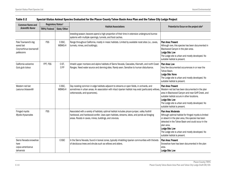| <b>Common Name and</b><br><b>Scientific Name</b>                           | Regulatory Status <sup>1</sup> |                  |                                                                                                                                                                                                                                                         |                                                                                                                                                                                                                                                                                                               |
|----------------------------------------------------------------------------|--------------------------------|------------------|---------------------------------------------------------------------------------------------------------------------------------------------------------------------------------------------------------------------------------------------------------|---------------------------------------------------------------------------------------------------------------------------------------------------------------------------------------------------------------------------------------------------------------------------------------------------------------|
|                                                                            | TRPA/Federal                   | State/Other      | <b>Habitat Associations</b>                                                                                                                                                                                                                             | Potential to Occur on the project site <sup>2</sup>                                                                                                                                                                                                                                                           |
|                                                                            |                                |                  | breeding season; beavers spend a high proportion of their time in extensive underground burrow<br>systems with multiple openings, tunnels, and food caches.                                                                                             |                                                                                                                                                                                                                                                                                                               |
| Pale Townsend's big-<br>eared bat<br>Corynorhinus townsendii<br>pallescens | <b>FSS</b>                     | C-SSC,<br>WBWG-H | Range throughout California, mostly in mesic habitats. Limited by available roost sites (i.e., caves,<br>tunnels, mines, and buildings).                                                                                                                | Plan Area: Present<br>Although rare, this species has been documented in<br>Blackwood Canyon in the plan area.<br>Lodge Site: Low<br>The Lodge site is urban and mostly developed. No<br>suitable habitat is present.                                                                                         |
| California wolverine<br>Gulo gulo luteus                                   | FPT, FSS                       | C-ST,<br>C-FP    | Inhabit upper montane and alpine habitats of Sierra Nevada, Cascades, Klamath, and north Coast<br>Ranges. Need water source and denning sites. Rarely seen. Sensitive to human disturbance.                                                             | Plan Area: Low<br>Very few documented occurrences in or near the<br>Tahoe Basin.<br>Lodge Site: None<br>The Lodge site is urban and mostly developed. No<br>suitable habitat is present.                                                                                                                      |
| Western red bat<br>Lasiurus blossevillii                                   |                                | C-SSC,<br>WBWG-H | Day roosting common in edge habitats adjacent to streams or open fields, in orchards, and<br>sometimes in urban areas. An association with intact riparian habitat may exist (particularly willows,<br>cottonwoods, and sycamores).                     | Plan Area: Present<br>Western red bat has been documented in the plan<br>area in Blackwood Canyon and near Griff Creek, and<br>suitable habitat occurs in other locations.<br>Lodge Site: Low<br>The Lodge site is urban and mostly developed. No<br>suitable habitat is present.                             |
| Fringed myotis<br>Myotis thysanodes                                        | <b>FSS</b>                     |                  | Associated with a variety of habitats; optimal habitat includes pinyon-juniper, valley foothill<br>hardwood, and hardwood-conifer. Uses open habitats, streams, lakes, and ponds as foraging<br>areas. Roosts in caves, mines, buildings, and crevices. | Plan Area: Moderate<br>Although optimal habitat for fringed myotis is limited<br>or absent in the plan area, this species has been<br>detected in the Tahoe Basin and could occur in the<br>plan area.<br>Lodge Site: Low<br>The Lodge site is urban and mostly developed. No<br>suitable habitat is present. |
| Sierra Nevada snowshoe<br>hare<br>Lepus americanus<br>tahoensis            |                                | <b>C-SSC</b>     | In the Sierra Nevada, found in boreal zones, typically inhabiting riparian communities with thickets<br>of deciduous trees and shrubs such as willows and alders.                                                                                       | Plan Area: Present<br>Snowshoe hare has been documented in the plan<br>area.<br>Lodge Site: Low                                                                                                                                                                                                               |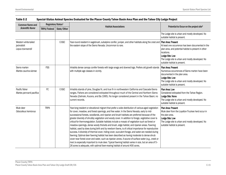| <b>Common Name and</b>                                 | Regulatory Status <sup>1</sup> |              |                                                                                                                                                                                                                                                                                                                                                                                                                                                                                                                                                                                                                                                                                                                                                                                                                                                                                                                                                                                                                                                                                                                                                                                                                             |                                                                                                                                                                                                                                                       |  |
|--------------------------------------------------------|--------------------------------|--------------|-----------------------------------------------------------------------------------------------------------------------------------------------------------------------------------------------------------------------------------------------------------------------------------------------------------------------------------------------------------------------------------------------------------------------------------------------------------------------------------------------------------------------------------------------------------------------------------------------------------------------------------------------------------------------------------------------------------------------------------------------------------------------------------------------------------------------------------------------------------------------------------------------------------------------------------------------------------------------------------------------------------------------------------------------------------------------------------------------------------------------------------------------------------------------------------------------------------------------------|-------------------------------------------------------------------------------------------------------------------------------------------------------------------------------------------------------------------------------------------------------|--|
| <b>Scientific Name</b>                                 | TRPA/Federal                   | State/Other  | <b>Habitat Associations</b>                                                                                                                                                                                                                                                                                                                                                                                                                                                                                                                                                                                                                                                                                                                                                                                                                                                                                                                                                                                                                                                                                                                                                                                                 | Potential to Occur on the project site <sup>2</sup>                                                                                                                                                                                                   |  |
|                                                        |                                |              |                                                                                                                                                                                                                                                                                                                                                                                                                                                                                                                                                                                                                                                                                                                                                                                                                                                                                                                                                                                                                                                                                                                                                                                                                             | The Lodge site is urban and mostly developed. No<br>suitable habitat is present.                                                                                                                                                                      |  |
| Western white-tailed<br>jackrabbit<br>Lepus townsendii |                                | C-SSC        | Year-round resident in sagebrush, subalpine conifer, juniper, and other habitats along the crest and<br>the eastern slope of the Sierra Nevada. Uncommon to rare.                                                                                                                                                                                                                                                                                                                                                                                                                                                                                                                                                                                                                                                                                                                                                                                                                                                                                                                                                                                                                                                           | Plan Area: Present<br>At least one occurrence has been documented in the<br>plan area, and potential habitat is present in other<br>locations.<br>Lodge Site: Low<br>The Lodge site is urban and mostly developed. No<br>suitable habitat is present. |  |
| Sierra marten<br>Martes caurina sierrae                | <b>FSS</b>                     |              | Inhabits dense canopy conifer forests with large snags and downed logs. Prefers old growth stands<br>with multiple age classes in vicinity.                                                                                                                                                                                                                                                                                                                                                                                                                                                                                                                                                                                                                                                                                                                                                                                                                                                                                                                                                                                                                                                                                 | Plan Area: Present<br>Numerous occurrences of Sierra marten have been<br>documented in the plan area.<br>Lodge Site: Low<br>The Lodge site is urban and mostly developed. No<br>suitable habitat is present.                                          |  |
| Pacific fisher<br>Martes pennanti pacifica             | FC                             | <b>C-SSC</b> | Inhabits stands of pine, Douglas fir, and true fir in northwestern California and Cascade-Sierra<br>ranges. Fishers are considered extirpated throughout much of the Central and Northern Sierra<br>Nevada (Zielinski, Kucera, and Ba 1995). No longer considered present in the Tahoe Basin; no<br>current records.                                                                                                                                                                                                                                                                                                                                                                                                                                                                                                                                                                                                                                                                                                                                                                                                                                                                                                        | Plan Area: Low<br>Considered extirpated from the Tahoe Region.<br>Lodge Site: None<br>The Lodge site is urban and mostly developed. No<br>suitable habitat is present.                                                                                |  |
| Mule deer<br>Odocoileus hemionus                       | <b>TRPA</b>                    |              | Year-long resident or elevational migrant that prefer a wide distribution of various-aged vegetation<br>for cover, meadow, and forest openings, and free water. In the Sierra Nevada, early to mid-<br>successional forests, woodlands, and riparian and brush habitats are preferred because of the<br>greater diversity of shrubby vegetation and woody cover. In addition to forage, vegetative cover is<br>critical for thermoregulation. Suitable habitats include a mosaic of vegetation such as forest or<br>meadow openings, dense woody thickets and brush, edge habitat, and riparian areas. Fawning<br>habitat, used by does during birth and by newborn fawns, is of critical importance for reproductive<br>success. A diversity of thermal cover, hiding cover, succulent forage, and water are needed during<br>fawning. Optimal deer fawning habitat has been described as having moderate to dense shrub<br>cover near forest cover and water, such as riparian zones. A source of surface water (e.g., creek or<br>river) is especially important to mule deer. Typical fawning habitat varies in size, but an area of 5-<br>26 acres is adequate, with optimal fawn-rearing habitat of around 400 acres. | Plan Area: Present<br>Mule deer from the Loyalton-Truckee herd occur in<br>the plan area.<br>Lodge Site: Low<br>The Lodge site is urban and mostly developed. No<br>suitable habitat is present.                                                      |  |